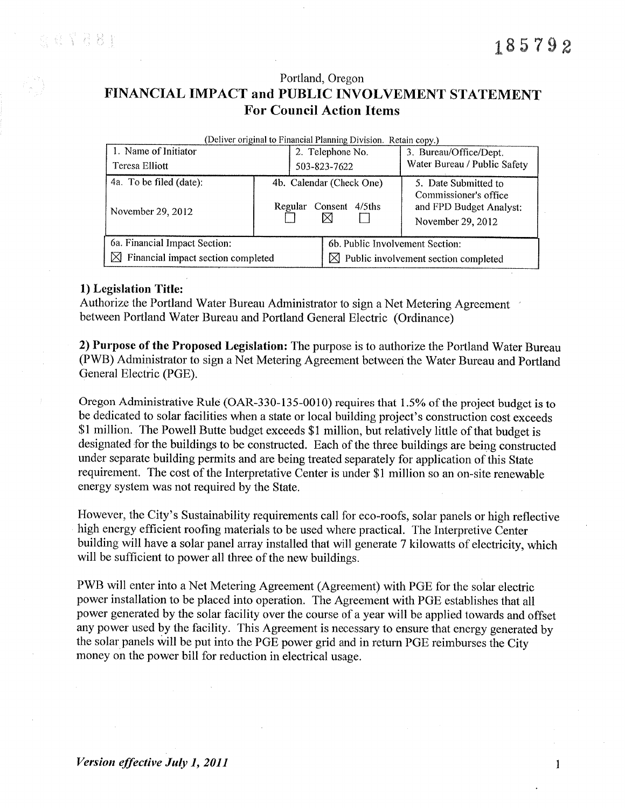# Portland, Oregon FINANCIAL IMPACT and PUBLIC INVOLVEMENT STATEMENT **For Council Action Items**

| (Deliver original to Financial Planning Division. Retain copy.) |                                                                  |                                                  |                                                                                               |  |  |  |  |  |  |
|-----------------------------------------------------------------|------------------------------------------------------------------|--------------------------------------------------|-----------------------------------------------------------------------------------------------|--|--|--|--|--|--|
| 1. Name of Initiator                                            |                                                                  | 2. Telephone No.                                 | 3. Bureau/Office/Dept.                                                                        |  |  |  |  |  |  |
| Teresa Elliott                                                  |                                                                  | 503-823-7622                                     | Water Bureau / Public Safety                                                                  |  |  |  |  |  |  |
| 4a. To be filed (date):<br>November 29, 2012                    | 4b. Calendar (Check One)<br>$4/5$ ths<br>Consent<br>Regular<br>⊠ |                                                  | 5. Date Submitted to<br>Commissioner's office<br>and FPD Budget Analyst:<br>November 29, 2012 |  |  |  |  |  |  |
| 6a. Financial Impact Section:                                   |                                                                  | 6b. Public Involvement Section:                  |                                                                                               |  |  |  |  |  |  |
| $\boxtimes$ Financial impact section completed                  |                                                                  | $\boxtimes$ Public involvement section completed |                                                                                               |  |  |  |  |  |  |

## 1) Legislation Title:

Authorize the Portland Water Bureau Administrator to sign a Net Metering Agreement between Portland Water Bureau and Portland General Electric (Ordinance)

2) Purpose of the Proposed Legislation: The purpose is to authorize the Portland Water Bureau (PWB) Administrator to sign a Net Metering Agreement between the Water Bureau and Portland General Electric (PGE).

Oregon Administrative Rule (OAR-330-135-0010) requires that 1.5% of the project budget is to be dedicated to solar facilities when a state or local building project's construction cost exceeds \$1 million. The Powell Butte budget exceeds \$1 million, but relatively little of that budget is designated for the buildings to be constructed. Each of the three buildings are being constructed under separate building permits and are being treated separately for application of this State requirement. The cost of the Interpretative Center is under \$1 million so an on-site renewable energy system was not required by the State.

However, the City's Sustainability requirements call for eco-roofs, solar panels or high reflective high energy efficient roofing materials to be used where practical. The Interpretive Center building will have a solar panel array installed that will generate 7 kilowatts of electricity, which will be sufficient to power all three of the new buildings.

PWB will enter into a Net Metering Agreement (Agreement) with PGE for the solar electric power installation to be placed into operation. The Agreement with PGE establishes that all power generated by the solar facility over the course of a year will be applied towards and offset any power used by the facility. This Agreement is necessary to ensure that energy generated by the solar panels will be put into the PGE power grid and in return PGE reimburses the City money on the power bill for reduction in electrical usage.

 $\mathbf{1}$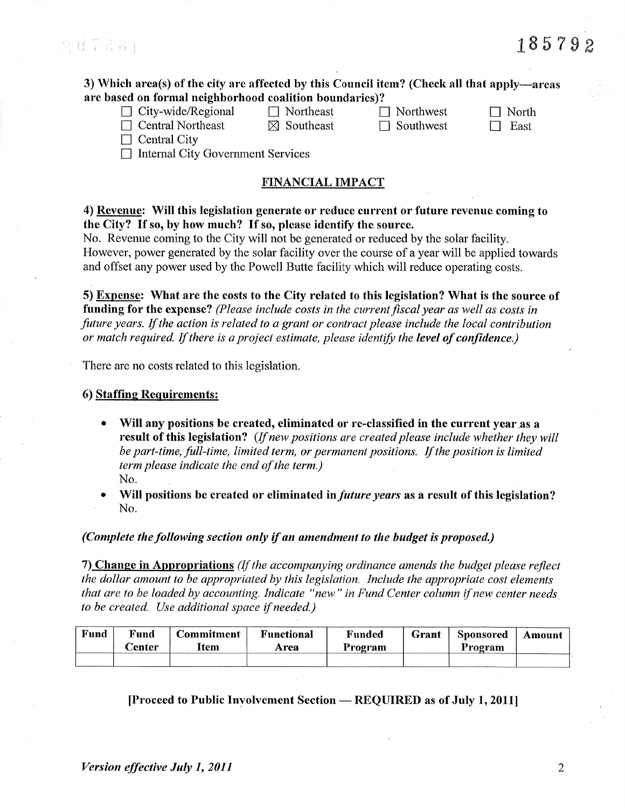S Q T 2 2 1

# 185792

3) Which area(s) of the city are affected by this Council item? (Check all that apply—areas are based on formal neighborhood coalition boundaries)?

 $\Box$  City-wide/Regional  $\Box$  Central Northeast

 $\Box$  Northeast

 $\boxtimes$  Southeast

 $\Box$  Northwest  $\Box$  Southwest

 $\Box$  North  $\Box$  East

 $\Box$  Central City

 $\Box$  Internal City Government Services

# **FINANCIAL IMPACT**

4) Revenue: Will this legislation generate or reduce current or future revenue coming to the City? If so, by how much? If so, please identify the source.

No. Revenue coming to the City will not be generated or reduced by the solar facility. However, power generated by the solar facility over the course of a year will be applied towards and offset any power used by the Powell Butte facility which will reduce operating costs.

5) Expense: What are the costs to the City related to this legislation? What is the source of funding for the expense? (Please include costs in the current fiscal year as well as costs in future years. If the action is related to a grant or contract please include the local contribution or match required. If there is a project estimate, please identify the level of confidence.)

There are no costs related to this legislation.

#### 6) Staffing Requirements:

Will any positions be created, eliminated or re-classified in the current year as a result of this legislation? (If new positions are created please include whether they will be part-time, full-time, limited term, or permanent positions. If the position is limited term please indicate the end of the term.) No.

Will positions be created or eliminated in *future years* as a result of this legislation? No.

(Complete the following section only if an amendment to the budget is proposed.)

7) Change in Appropriations (If the accompanying ordinance amends the budget please reflect the dollar amount to be appropriated by this legislation. Include the appropriate cost elements that are to be loaded by accounting. Indicate "new" in Fund Center column if new center needs to be created. Use additional space if needed.)

| Fund | Fund<br><b>Center</b> | <b>Commitment</b><br>Item | <b>Functional</b><br>Area | <sup>v</sup> unded<br>rogram | Grant | Sponsored<br>Program<br>---- | Amount |
|------|-----------------------|---------------------------|---------------------------|------------------------------|-------|------------------------------|--------|
|      |                       |                           |                           |                              |       |                              |        |

[Proceed to Public Involvement Section — REQUIRED as of July 1, 2011]